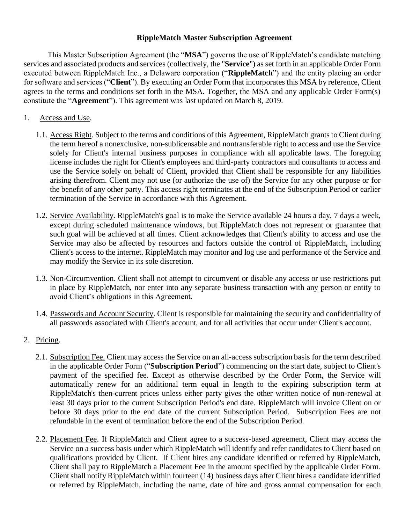## **RippleMatch Master Subscription Agreement**

This Master Subscription Agreement (the "**MSA**") governs the use of RippleMatch's candidate matching services and associated products and services (collectively, the "**Service**") as set forth in an applicable Order Form executed between RippleMatch Inc., a Delaware corporation ("**RippleMatch**") and the entity placing an order for software and services ("**Client**"). By executing an Order Form that incorporates this MSA by reference, Client agrees to the terms and conditions set forth in the MSA. Together, the MSA and any applicable Order Form(s) constitute the "**Agreement**"). This agreement was last updated on March 8, 2019.

- 1. Access and Use.
	- 1.1. Access Right. Subject to the terms and conditions of this Agreement, RippleMatch grants to Client during the term hereof a nonexclusive, non-sublicensable and nontransferable right to access and use the Service solely for Client's internal business purposes in compliance with all applicable laws. The foregoing license includes the right for Client's employees and third-party contractors and consultants to access and use the Service solely on behalf of Client, provided that Client shall be responsible for any liabilities arising therefrom. Client may not use (or authorize the use of) the Service for any other purpose or for the benefit of any other party. This access right terminates at the end of the Subscription Period or earlier termination of the Service in accordance with this Agreement.
	- 1.2. Service Availability. RippleMatch's goal is to make the Service available 24 hours a day, 7 days a week, except during scheduled maintenance windows, but RippleMatch does not represent or guarantee that such goal will be achieved at all times. Client acknowledges that Client's ability to access and use the Service may also be affected by resources and factors outside the control of RippleMatch, including Client's access to the internet. RippleMatch may monitor and log use and performance of the Service and may modify the Service in its sole discretion.
	- 1.3. Non-Circumvention. Client shall not attempt to circumvent or disable any access or use restrictions put in place by RippleMatch, nor enter into any separate business transaction with any person or entity to avoid Client's obligations in this Agreement.
	- 1.4. Passwords and Account Security. Client is responsible for maintaining the security and confidentiality of all passwords associated with Client's account, and for all activities that occur under Client's account.
- 2. Pricing.
	- 2.1. Subscription Fee. Client may access the Service on an all-access subscription basis for the term described in the applicable Order Form ("**Subscription Period**") commencing on the start date, subject to Client's payment of the specified fee. Except as otherwise described by the Order Form, the Service will automatically renew for an additional term equal in length to the expiring subscription term at RippleMatch's then-current prices unless either party gives the other written notice of non-renewal at least 30 days prior to the current Subscription Period's end date. RippleMatch will invoice Client on or before 30 days prior to the end date of the current Subscription Period. Subscription Fees are not refundable in the event of termination before the end of the Subscription Period.
	- 2.2. Placement Fee. If RippleMatch and Client agree to a success-based agreement, Client may access the Service on a success basis under which RippleMatch will identify and refer candidates to Client based on qualifications provided by Client. If Client hires any candidate identified or referred by RippleMatch, Client shall pay to RippleMatch a Placement Fee in the amount specified by the applicable Order Form. Client shall notify RippleMatch within fourteen (14) business days after Client hires a candidate identified or referred by RippleMatch, including the name, date of hire and gross annual compensation for each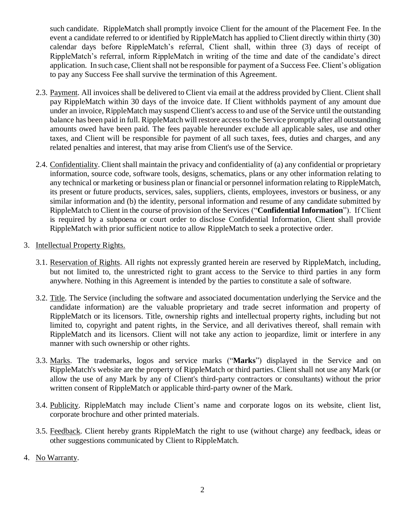such candidate. RippleMatch shall promptly invoice Client for the amount of the Placement Fee. In the event a candidate referred to or identified by RippleMatch has applied to Client directly within thirty (30) calendar days before RippleMatch's referral, Client shall, within three (3) days of receipt of RippleMatch's referral, inform RippleMatch in writing of the time and date of the candidate's direct application. In such case, Client shall not be responsible for payment of a Success Fee. Client's obligation to pay any Success Fee shall survive the termination of this Agreement.

- 2.3. Payment. All invoices shall be delivered to Client via email at the address provided by Client. Client shall pay RippleMatch within 30 days of the invoice date. If Client withholds payment of any amount due under an invoice, RippleMatch may suspend Client's access to and use of the Service until the outstanding balance has been paid in full. RippleMatch will restore access to the Service promptly after all outstanding amounts owed have been paid. The fees payable hereunder exclude all applicable sales, use and other taxes, and Client will be responsible for payment of all such taxes, fees, duties and charges, and any related penalties and interest, that may arise from Client's use of the Service.
- 2.4. Confidentiality. Client shall maintain the privacy and confidentiality of (a) any confidential or proprietary information, source code, software tools, designs, schematics, plans or any other information relating to any technical or marketing or business plan or financial or personnel information relating to RippleMatch, its present or future products, services, sales, suppliers, clients, employees, investors or business, or any similar information and (b) the identity, personal information and resume of any candidate submitted by RippleMatch to Client in the course of provision of the Services ("**Confidential Information**"). If Client is required by a subpoena or court order to disclose Confidential Information, Client shall provide RippleMatch with prior sufficient notice to allow RippleMatch to seek a protective order.
- 3. Intellectual Property Rights.
	- 3.1. Reservation of Rights. All rights not expressly granted herein are reserved by RippleMatch, including, but not limited to, the unrestricted right to grant access to the Service to third parties in any form anywhere. Nothing in this Agreement is intended by the parties to constitute a sale of software.
	- 3.2. Title. The Service (including the software and associated documentation underlying the Service and the candidate information) are the valuable proprietary and trade secret information and property of RippleMatch or its licensors. Title, ownership rights and intellectual property rights, including but not limited to, copyright and patent rights, in the Service, and all derivatives thereof, shall remain with RippleMatch and its licensors. Client will not take any action to jeopardize, limit or interfere in any manner with such ownership or other rights.
	- 3.3. Marks. The trademarks, logos and service marks ("**Marks**") displayed in the Service and on RippleMatch's website are the property of RippleMatch or third parties. Client shall not use any Mark (or allow the use of any Mark by any of Client's third-party contractors or consultants) without the prior written consent of RippleMatch or applicable third-party owner of the Mark.
	- 3.4. Publicity. RippleMatch may include Client's name and corporate logos on its website, client list, corporate brochure and other printed materials.
	- 3.5. Feedback. Client hereby grants RippleMatch the right to use (without charge) any feedback, ideas or other suggestions communicated by Client to RippleMatch.
- 4. No Warranty.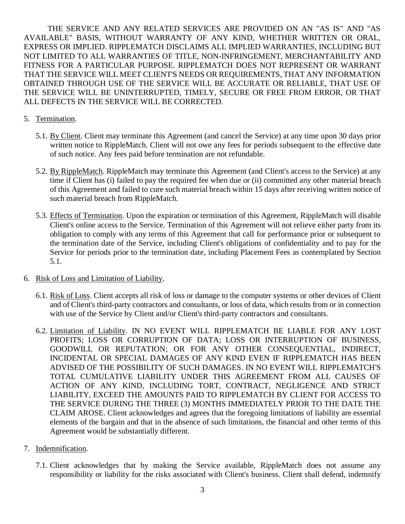THE SERVICE AND ANY RELATED SERVICES ARE PROVIDED ON AN "AS IS" AND "AS AVAILABLE" BASIS, WITHOUT WARRANTY OF ANY KIND, WHETHER WRITTEN OR ORAL, EXPRESS OR IMPLIED. RIPPLEMATCH DISCLAIMS ALL IMPLIED WARRANTIES, INCLUDING BUT NOT LIMITED TO ALL WARRANTIES OF TITLE, NON-INFRINGEMENT, MERCHANTABILITY AND FITNESS FOR A PARTICULAR PURPOSE. RIPPLEMATCH DOES NOT REPRESENT OR WARRANT THAT THE SERVICE WILL MEET CLIENT'S NEEDS OR REQUIREMENTS, THAT ANY INFORMATION OBTAINED THROUGH USE OF THE SERVICE WILL BE ACCURATE OR RELIABLE, THAT USE OF THE SERVICE WILL BE UNINTERRUPTED, TIMELY, SECURE OR FREE FROM ERROR, OR THAT ALL DEFECTS IN THE SERVICE WILL BE CORRECTED.

## 5. Termination.

- 5.1. By Client. Client may terminate this Agreement (and cancel the Service) at any time upon 30 days prior written notice to RippleMatch. Client will not owe any fees for periods subsequent to the effective date of such notice. Any fees paid before termination are not refundable.
- 5.2. By RippleMatch. RippleMatch may terminate this Agreement (and Client's access to the Service) at any time if Client has (i) failed to pay the required fee when due or (ii) committed any other material breach of this Agreement and failed to cure such material breach within 15 days after receiving written notice of such material breach from RippleMatch.
- 5.3. Effects of Termination. Upon the expiration or termination of this Agreement, RippleMatch will disable Client's online access to the Service. Termination of this Agreement will not relieve either party from its obligation to comply with any terms of this Agreement that call for performance prior or subsequent to the termination date of the Service, including Client's obligations of confidentiality and to pay for the Service for periods prior to the termination date, including Placement Fees as contemplated by Section 5.1.
- 6. Risk of Loss and Limitation of Liability.
	- 6.1. Risk of Loss. Client accepts all risk of loss or damage to the computer systems or other devices of Client and of Client's third-party contractors and consultants, or loss of data, which results from or in connection with use of the Service by Client and/or Client's third-party contractors and consultants.
	- 6.2. Limitation of Liability. IN NO EVENT WILL RIPPLEMATCH BE LIABLE FOR ANY LOST PROFITS; LOSS OR CORRUPTION OF DATA; LOSS OR INTERRUPTION OF BUSINESS, GOODWILL OR REPUTATION; OR FOR ANY OTHER CONSEQUENTIAL, INDIRECT, INCIDENTAL OR SPECIAL DAMAGES OF ANY KIND EVEN IF RIPPLEMATCH HAS BEEN ADVISED OF THE POSSIBILITY OF SUCH DAMAGES. IN NO EVENT WILL RIPPLEMATCH'S TOTAL CUMULATIVE LIABILITY UNDER THIS AGREEMENT FROM ALL CAUSES OF ACTION OF ANY KIND, INCLUDING TORT, CONTRACT, NEGLIGENCE AND STRICT LIABILITY, EXCEED THE AMOUNTS PAID TO RIPPLEMATCH BY CLIENT FOR ACCESS TO THE SERVICE DURING THE THREE (3) MONTHS IMMEDIATELY PRIOR TO THE DATE THE CLAIM AROSE. Client acknowledges and agrees that the foregoing limitations of liability are essential elements of the bargain and that in the absence of such limitations, the financial and other terms of this Agreement would be substantially different.
- 7. Indemnification.
	- 7.1. Client acknowledges that by making the Service available, RippleMatch does not assume any responsibility or liability for the risks associated with Client's business. Client shall defend, indemnify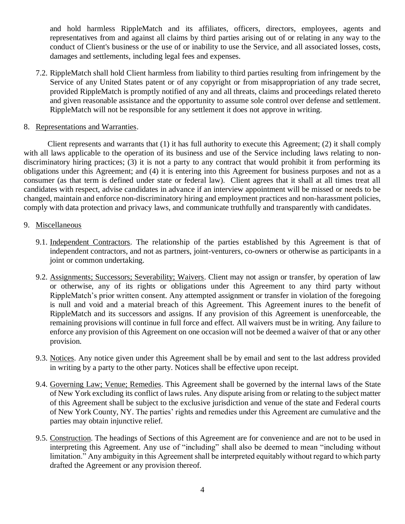and hold harmless RippleMatch and its affiliates, officers, directors, employees, agents and representatives from and against all claims by third parties arising out of or relating in any way to the conduct of Client's business or the use of or inability to use the Service, and all associated losses, costs, damages and settlements, including legal fees and expenses.

- 7.2. RippleMatch shall hold Client harmless from liability to third parties resulting from infringement by the Service of any United States patent or of any copyright or from misappropriation of any trade secret, provided RippleMatch is promptly notified of any and all threats, claims and proceedings related thereto and given reasonable assistance and the opportunity to assume sole control over defense and settlement. RippleMatch will not be responsible for any settlement it does not approve in writing.
- 8. Representations and Warranties.

 Client represents and warrants that (1) it has full authority to execute this Agreement; (2) it shall comply with all laws applicable to the operation of its business and use of the Service including laws relating to nondiscriminatory hiring practices; (3) it is not a party to any contract that would prohibit it from performing its obligations under this Agreement; and (4) it is entering into this Agreement for business purposes and not as a consumer (as that term is defined under state or federal law). Client agrees that it shall at all times treat all candidates with respect, advise candidates in advance if an interview appointment will be missed or needs to be changed, maintain and enforce non-discriminatory hiring and employment practices and non-harassment policies, comply with data protection and privacy laws, and communicate truthfully and transparently with candidates.

## 9. Miscellaneous

- 9.1. Independent Contractors. The relationship of the parties established by this Agreement is that of independent contractors, and not as partners, joint-venturers, co-owners or otherwise as participants in a joint or common undertaking.
- 9.2. Assignments; Successors; Severability; Waivers. Client may not assign or transfer, by operation of law or otherwise, any of its rights or obligations under this Agreement to any third party without RippleMatch's prior written consent. Any attempted assignment or transfer in violation of the foregoing is null and void and a material breach of this Agreement. This Agreement inures to the benefit of RippleMatch and its successors and assigns. If any provision of this Agreement is unenforceable, the remaining provisions will continue in full force and effect. All waivers must be in writing. Any failure to enforce any provision of this Agreement on one occasion will not be deemed a waiver of that or any other provision.
- 9.3. Notices. Any notice given under this Agreement shall be by email and sent to the last address provided in writing by a party to the other party. Notices shall be effective upon receipt.
- 9.4. Governing Law; Venue; Remedies. This Agreement shall be governed by the internal laws of the State of New York excluding its conflict of laws rules. Any dispute arising from or relating to the subject matter of this Agreement shall be subject to the exclusive jurisdiction and venue of the state and Federal courts of New York County, NY. The parties' rights and remedies under this Agreement are cumulative and the parties may obtain injunctive relief.
- 9.5. Construction. The headings of Sections of this Agreement are for convenience and are not to be used in interpreting this Agreement. Any use of "including" shall also be deemed to mean "including without limitation." Any ambiguity in this Agreement shall be interpreted equitably without regard to which party drafted the Agreement or any provision thereof.